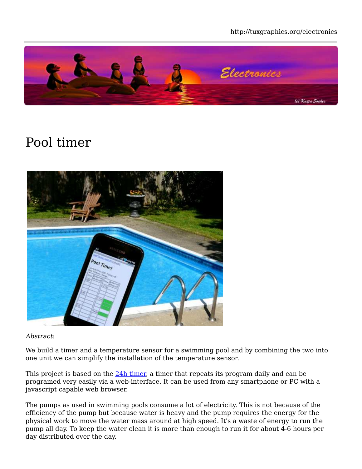#### http://tuxgraphics.org/electronics



# Pool timer



Abstract:

We build a timer and a temperature sensor for a swimming pool and by combining the two into one unit we can simplify the installation of the temperature sensor.

This project is based on the  $24h$  timer, a timer that repeats its program daily and can be programed very easily via a web-interface. It can be used from any smartphone or PC with a javascript capable web browser.

The pumps as used in swimming pools consume a lot of electricity. This is not because of the efficiency of the pump but because water is heavy and the pump requires the energy for the physical work to move the water mass around at high speed. It's a waste of energy to run the pump all day. To keep the water clean it is more than enough to run it for about 4-6 hours per day distributed over the day.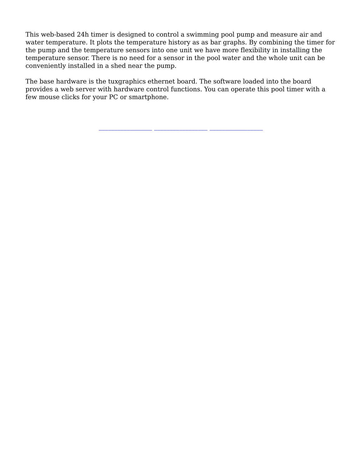This web-based 24h timer is designed to control a swimming pool pump and measure air and water temperature. It plots the temperature history as as bar graphs. By combining the timer for the pump and the temperature sensors into one unit we have more flexibility in installing the temperature sensor. There is no need for a sensor in the pool water and the whole unit can be conveniently installed in a shed near the pump.

The base hardware is the tuxgraphics ethernet board. The software loaded into the board provides a web server with hardware control functions. You can operate this pool timer with a few mouse clicks for your PC or smartphone.

**\_\_\_\_\_\_\_\_\_\_\_\_\_\_\_\_\_ \_\_\_\_\_\_\_\_\_\_\_\_\_\_\_\_\_ \_\_\_\_\_\_\_\_\_\_\_\_\_\_\_\_\_**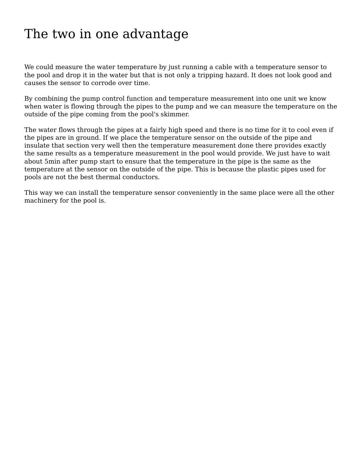### The two in one advantage

We could measure the water temperature by just running a cable with a temperature sensor to the pool and drop it in the water but that is not only a tripping hazard. It does not look good and causes the sensor to corrode over time.

By combining the pump control function and temperature measurement into one unit we know when water is flowing through the pipes to the pump and we can measure the temperature on the outside of the pipe coming from the pool's skimmer.

The water flows through the pipes at a fairly high speed and there is no time for it to cool even if the pipes are in ground. If we place the temperature sensor on the outside of the pipe and insulate that section very well then the temperature measurement done there provides exactly the same results as a temperature measurement in the pool would provide. We just have to wait about 5min after pump start to ensure that the temperature in the pipe is the same as the temperature at the sensor on the outside of the pipe. This is because the plastic pipes used for pools are not the best thermal conductors.

This way we can install the temperature sensor conveniently in the same place were all the other machinery for the pool is.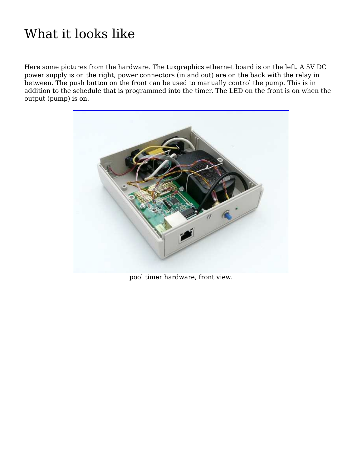# What it looks like

Here some pictures from the hardware. The tuxgraphics ethernet board is on the left. A 5V DC power supply is on the right, power connectors (in and out) are on the back with the relay in between. The push button on the front can be used to manually control the pump. This is in addition to the schedule that is programmed into the timer. The LED on the front is on when the output (pump) is on.



pool timer hardware, front view.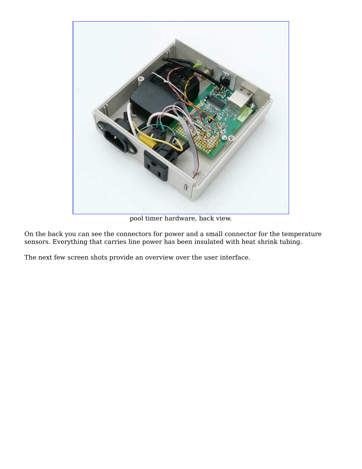

pool timer hardware, back view.

On the back you can see the connectors for power and a small connector for the temperature sensors. Everything that carries line power has been insulated with heat shrink tubing.

The next few screen shots provide an overview over the user interface.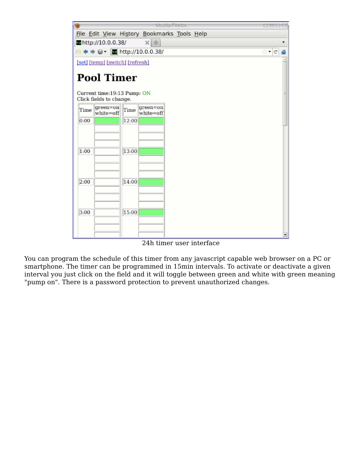

24h timer user interface

You can program the schedule of this timer from any javascript capable web browser on a PC or smartphone. The timer can be programmed in 15min intervals. To activate or deactivate a given interval you just click on the field and it will toggle between green and white with green meaning "pump on". There is a password protection to prevent unauthorized changes.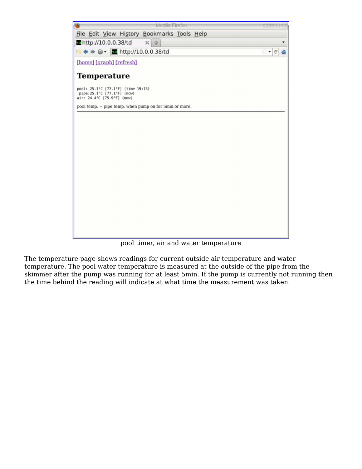

pool timer, air and water temperature

The temperature page shows readings for current outside air temperature and water temperature. The pool water temperature is measured at the outside of the pipe from the skimmer after the pump was running for at least 5min. If the pump is currently not running then the time behind the reading will indicate at what time the measurement was taken.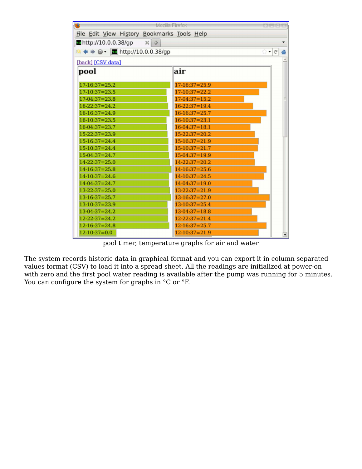| $\bullet$<br>Mozilla Firefox                                 | <b>A FRIDE</b>                              |
|--------------------------------------------------------------|---------------------------------------------|
| File Edit View History Bookmarks Tools Help                  |                                             |
| <b>xa</b> http://10.0.0.38/gp<br>$\times$ $\oplus$           |                                             |
| P $\Leftrightarrow$ $\bigcirc$ $\cdot$ B http://10.0.0.38/gp | ☆▼C                                         |
| [back] [CSV data]                                            |                                             |
|                                                              | air                                         |
| pool                                                         |                                             |
| $17-16:37=25.2$                                              | $17-16:37=25.9$                             |
| $17-10:37=23.5$                                              | $17-10:37=22.2$                             |
| $17-04:37=23.8$                                              | $17-04:37=15.2$                             |
| $16 - 22$ : $37 = 24.2$                                      | $16 - 22 \cdot 37 = 19.4$                   |
| $16-16:37=24.9$                                              | $16-16:37=25.7$                             |
| $16-10:37=23.5$                                              | $16-10:37=23.1$                             |
| $16-04:37=23.7$                                              | $16-04:37=18.1$                             |
| $15 - 22 \cdot 37 = 23.9$                                    | $15 - 22 \cdot 37 = 20.2$                   |
| $15-16:37=24.4$                                              | $15-16:37=21.9$                             |
| $15-10:37=24.4$                                              | $15-10:37=21.7$                             |
| $15-04:37=24.7$                                              | $15-04:37=19.9$                             |
| $14 - 22:37 = 25.0$                                          | $14 - 22:37 = 20.2$                         |
| $14-16:37=25.8$                                              | $14-16:37=25.6$                             |
| $14-10:37=24.6$                                              | $14-10:37=24.5$                             |
| $14-04:37=24.7$                                              | $14-04:37=19.0$                             |
| $13-22:37=25.0$                                              | $13-22:37=21.9$                             |
| $13-16:37=25.7$                                              | $13-16:37=27.0$                             |
| $13-10:37=23.9$                                              | $13-10:37=25.4$                             |
| $13-04:37=24.2$                                              | $13-04:37=18.8$                             |
| $12 - 22:37 = 24.2$<br>$12-16:37=24.8$                       | $12 - 22:37 = 21.4$<br>$12-16:37=25.7$      |
| $12-10:37=0.0$                                               |                                             |
|                                                              | $12-10:37=21.9$<br>$\overline{\phantom{a}}$ |

pool timer, temperature graphs for air and water

The system records historic data in graphical format and you can export it in column separated values format (CSV) to load it into a spread sheet. All the readings are initialized at power-on with zero and the first pool water reading is available after the pump was running for 5 minutes. You can configure the system for graphs in  $^{\circ}$ C or  $^{\circ}$ F.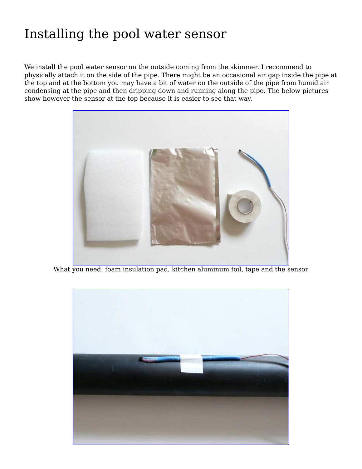## Installing the pool water sensor

We install the pool water sensor on the outside coming from the skimmer. I recommend to physically attach it on the side of the pipe. There might be an occasional air gap inside the pipe at the top and at the bottom you may have a bit of water on the outside of the pipe from humid air condensing at the pipe and then dripping down and running along the pipe. The below pictures show however the sensor at the top because it is easier to see that way.



What you need: foam insulation pad, kitchen aluminum foil, tape and the sensor

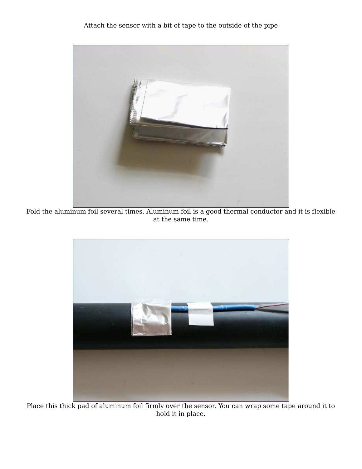#### Attach the sensor with a bit of tape to the outside of the pipe



Fold the aluminum foil several times. Aluminum foil is a good thermal conductor and it is flexible at the same time.



Place this thick pad of aluminum foil firmly over the sensor. You can wrap some tape around it to hold it in place.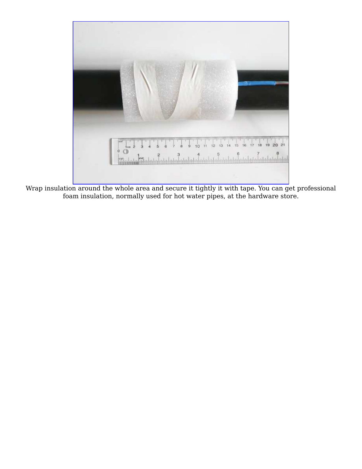

Wrap insulation around the whole area and secure it tightly it with tape. You can get professional foam insulation, normally used for hot water pipes, at the hardware store.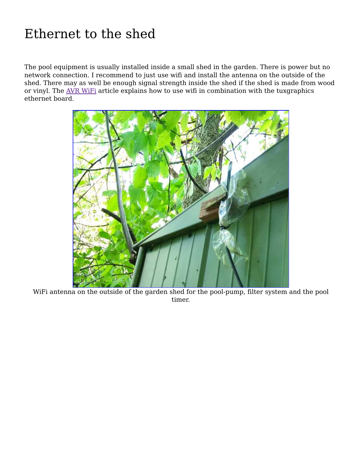### Ethernet to the shed

The pool equipment is usually installed inside a small shed in the garden. There is power but no network connection. I recommend to just use wifi and install the antenna on the outside of the shed. There may as well be enough signal strength inside the shed if the shed is made from wood or vinyl. The AVR WiFi article explains how to use wifi in combination with the tuxgraphics ethernet board.



WiFi antenna on the outside of the garden shed for the pool-pump, filter system and the pool timer.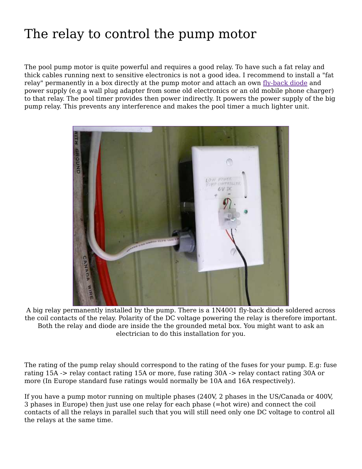# The relay to control the pump motor

The pool pump motor is quite powerful and requires a good relay. To have such a fat relay and thick cables running next to sensitive electronics is not a good idea. I recommend to install a "fat relay" permanently in a box directly at the pump motor and attach an own fly-back diode and power supply (e.g a wall plug adapter from some old electronics or an old mobile phone charger) to that relay. The pool timer provides then power indirectly. It powers the power supply of the big pump relay. This prevents any interference and makes the pool timer a much lighter unit.



A big relay permanently installed by the pump. There is a 1N4001 fly-back diode soldered across the coil contacts of the relay. Polarity of the DC voltage powering the relay is therefore important. Both the relay and diode are inside the the grounded metal box. You might want to ask an electrician to do this installation for you.

The rating of the pump relay should correspond to the rating of the fuses for your pump. E.g: fuse rating 15A -> relay contact rating 15A or more, fuse rating 30A -> relay contact rating 30A or more (In Europe standard fuse ratings would normally be 10A and 16A respectively).

If you have a pump motor running on multiple phases (240V, 2 phases in the US/Canada or 400V, 3 phases in Europe) then just use one relay for each phase (=hot wire) and connect the coil contacts of all the relays in parallel such that you will still need only one DC voltage to control all the relays at the same time.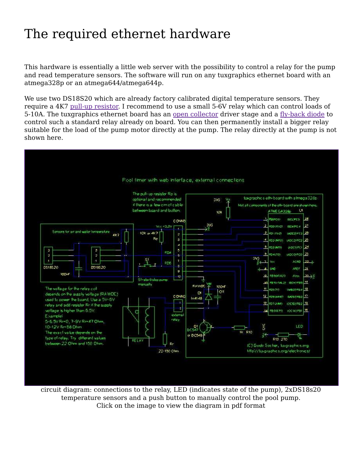# The required ethernet hardware

This hardware is essentially a little web server with the possibility to control a relay for the pump and read temperature sensors. The software will run on any tuxgraphics ethernet board with an atmega328p or an atmega644/atmega644p.

We use two DS18S20 which are already factory calibrated digital temperature sensors. They require a 4K7 pull-up resistor. I recommend to use a small 5-6V relay which can control loads of 5-10A. The tuxgraphics ethernet board has an open collector driver stage and a fly-back diode to control such a standard relay already on board. You can then permanently install a bigger relay suitable for the load of the pump motor directly at the pump. The relay directly at the pump is not shown here.



circuit diagram: connections to the relay, LED (indicates state of the pump), 2xDS18s20 temperature sensors and a push button to manually control the pool pump. Click on the image to view the diagram in pdf format